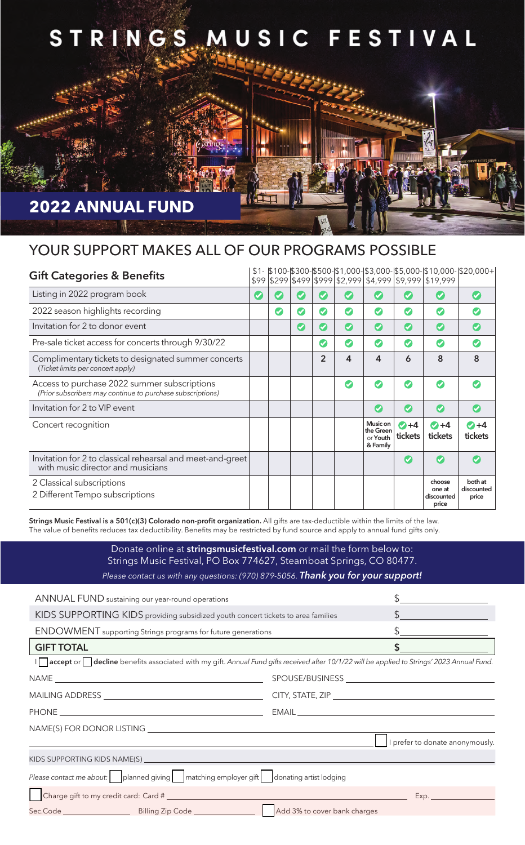

## YOUR SUPPORT MAKES ALL OF OUR PROGRAMS POSSIBLE

| <b>Gift Categories &amp; Benefits</b>                                                                      |                      |           |                        |                       |                      |                                               |                            | \$99 \$299 \$499 \$999 \$2,999 \$4,999 \$9,999 \$19,999 | $$1-$ \$100-\$300-\$500-\$1,000-\$3,000-\$5,000-\$10,000-\$20,000+ |
|------------------------------------------------------------------------------------------------------------|----------------------|-----------|------------------------|-----------------------|----------------------|-----------------------------------------------|----------------------------|---------------------------------------------------------|--------------------------------------------------------------------|
| Listing in 2022 program book                                                                               | $\blacktriangledown$ |           | ✔                      |                       | $\blacktriangledown$ | Ø                                             | $\boldsymbol{\varphi}$     | $\boldsymbol{\triangledown}$                            | Ø                                                                  |
| 2022 season highlights recording                                                                           |                      | $\bullet$ | Ø                      | $\bullet$             | Ø                    | Ø                                             | Ø                          | Ø                                                       |                                                                    |
| Invitation for 2 to donor event                                                                            |                      |           | $\boldsymbol{\varphi}$ | $\boldsymbol{\sigma}$ | $\bullet$            | $\bullet$                                     | $\bullet$                  | $\bullet$                                               | Ø                                                                  |
| Pre-sale ticket access for concerts through 9/30/22                                                        |                      |           |                        | Ø                     | Ø                    | Ø                                             | Ø                          | Ø                                                       | $\boldsymbol{\sigma}$                                              |
| Complimentary tickets to designated summer concerts<br>(Ticket limits per concert apply)                   |                      |           |                        | $\overline{2}$        | 4                    | 4                                             | 6                          | 8                                                       | 8                                                                  |
| Access to purchase 2022 summer subscriptions<br>(Prior subscribers may continue to purchase subscriptions) |                      |           |                        |                       | $\sigma$             | $\boldsymbol{c}$                              | $\bullet$                  | Ø                                                       |                                                                    |
| Invitation for 2 to VIP event                                                                              |                      |           |                        |                       |                      | Ø                                             | $\boldsymbol{C}$           | Ø                                                       | $\boldsymbol{\sigma}$                                              |
| Concert recognition                                                                                        |                      |           |                        |                       |                      | Music on<br>the Green<br>or Youth<br>& Family | $\bigcirc +4$<br>tickets   | $\bigcirc +4$<br>tickets                                | $\bigcirc +4$<br>tickets                                           |
| Invitation for 2 to classical rehearsal and meet-and-greet<br>with music director and musicians            |                      |           |                        |                       |                      |                                               | $\boldsymbol{\mathcal{G}}$ | $\boldsymbol{\sigma}$                                   |                                                                    |
| 2 Classical subscriptions<br>2 Different Tempo subscriptions                                               |                      |           |                        |                       |                      |                                               |                            | choose<br>one at<br>discounted<br>price                 | both at<br>discounted<br>price                                     |

Strings Music Festival is a 501(c)(3) Colorado non-profit organization. All gifts are tax-deductible within the limits of the law. The value of benefits reduces tax deductibility. Benefits may be restricted by fund source and apply to annual fund gifts only.

> Donate online at stringsmusicfestival.com or mail the form below to: Strings Music Festival, PO Box 774627, Steamboat Springs, CO 80477. *Please contact us with any questions: (970) 879-5056. Thank you for your support!*

| ANNUAL FUND sustaining our year-round operations                                                                                              |                                 |  |  |  |  |  |
|-----------------------------------------------------------------------------------------------------------------------------------------------|---------------------------------|--|--|--|--|--|
| KIDS SUPPORTING KIDS providing subsidized youth concert tickets to area families                                                              |                                 |  |  |  |  |  |
| <b>ENDOWMENT</b> supporting Strings programs for future generations                                                                           | $\frac{1}{2}$                   |  |  |  |  |  |
| <b>GIFT TOTAL</b>                                                                                                                             | \$                              |  |  |  |  |  |
| In accept or decline benefits associated with my gift. Annual Fund gifts received after 10/1/22 will be applied to Strings' 2023 Annual Fund. |                                 |  |  |  |  |  |
|                                                                                                                                               |                                 |  |  |  |  |  |
|                                                                                                                                               |                                 |  |  |  |  |  |
|                                                                                                                                               |                                 |  |  |  |  |  |
| NAME(S) FOR DONOR LISTING THE RESERVED ON A 1999 ON A 1999 ON A 1999 ON A 1999 ON A 1999 ON A 1999 ON A 1999 ON                               |                                 |  |  |  |  |  |
|                                                                                                                                               | I prefer to donate anonymously. |  |  |  |  |  |
|                                                                                                                                               |                                 |  |  |  |  |  |
| Please contact me about: $\Box$ planned giving $\Box$ matching employer gift $\Box$ donating artist lodging                                   |                                 |  |  |  |  |  |
|                                                                                                                                               |                                 |  |  |  |  |  |
|                                                                                                                                               | Add 3% to cover bank charges    |  |  |  |  |  |